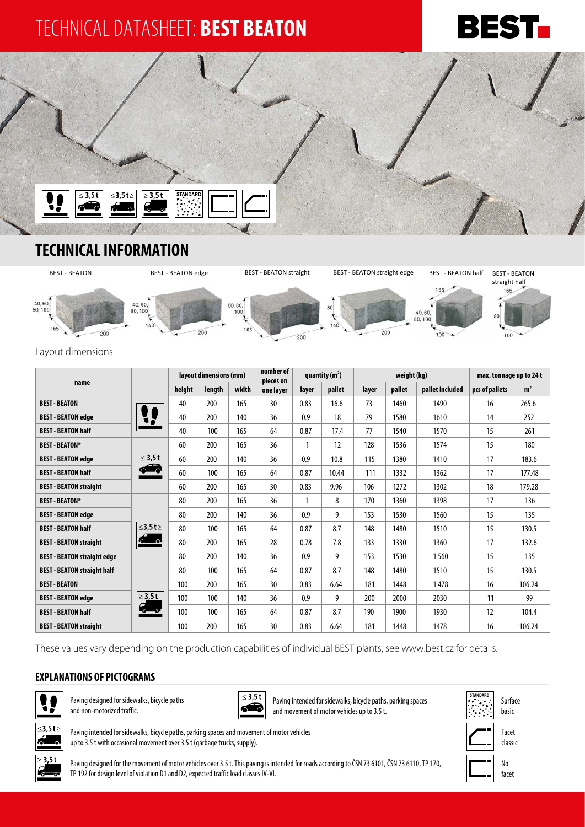# TECHNICAL DATASHEET: **BEST BEATON**





### **TECHNICAL INFORMATION**



#### Layout dimensions

|                                    |                          | layout dimensions (mm) |        | number of<br>quantity $(m2)$<br>pieces on |           |       | weight (kg) |       |        | max. tonnage up to 24 t |                |                |
|------------------------------------|--------------------------|------------------------|--------|-------------------------------------------|-----------|-------|-------------|-------|--------|-------------------------|----------------|----------------|
| name                               |                          | height                 | length | width                                     | one layer | layer | pallet      | layer | pallet | pallet included         | pcs of pallets | m <sup>2</sup> |
| <b>BEST - BEATON</b>               |                          | 40                     | 200    | 165                                       | 30        | 0.83  | 16.6        | 73    | 1460   | 1490                    | 16             | 265.6          |
| <b>BEST - BEATON edge</b>          |                          | 40                     | 200    | 140                                       | 36        | 0.9   | 18          | 79    | 1580   | 1610                    | 14             | 252            |
| <b>BEST - BEATON half</b>          |                          | 40                     | 100    | 165                                       | 64        | 0.87  | 17.4        | 77    | 1540   | 1570                    | 15             | 261            |
| <b>BEST - BEATON*</b>              | $\leq 3.5t$<br>$\bullet$ | 60                     | 200    | 165                                       | 36        | 1     | 12          | 128   | 1536   | 1574                    | 15             | 180            |
| <b>BEST - BEATON edge</b>          |                          | 60                     | 200    | 140                                       | 36        | 0.9   | 10.8        | 115   | 1380   | 1410                    | 17             | 183.6          |
| <b>BEST - BEATON half</b>          |                          | 60                     | 100    | 165                                       | 64        | 0.87  | 10.44       | 111   | 1332   | 1362                    | 17             | 177.48         |
| <b>BEST - BEATON straight</b>      |                          | 60                     | 200    | 165                                       | 30        | 0.83  | 9.96        | 106   | 1272   | 1302                    | 18             | 179.28         |
| <b>BEST - BEATON*</b>              | $≤3,5t≥$                 | 80                     | 200    | 165                                       | 36        | 1     | 8           | 170   | 1360   | 1398                    | 17             | 136            |
| <b>BEST - BEATON edge</b>          |                          | 80                     | 200    | 140                                       | 36        | 0.9   | 9           | 153   | 1530   | 1560                    | 15             | 135            |
| <b>BEST - BEATON half</b>          |                          | 80                     | 100    | 165                                       | 64        | 0.87  | 8.7         | 148   | 1480   | 1510                    | 15             | 130.5          |
| <b>BEST - BEATON straight</b>      | റ— പ                     | 80                     | 200    | 165                                       | 28        | 0.78  | 7.8         | 133   | 1330   | 1360                    | 17             | 132.6          |
| <b>BEST - BEATON straight edge</b> |                          | 80                     | 200    | 140                                       | 36        | 0.9   | 9           | 153   | 1530   | 1560                    | 15             | 135            |
| <b>BEST - BEATON straight half</b> |                          | 80                     | 100    | 165                                       | 64        | 0.87  | 8.7         | 148   | 1480   | 1510                    | 15             | 130.5          |
| <b>BEST - BEATON</b>               |                          | 100                    | 200    | 165                                       | 30        | 0.83  | 6.64        | 181   | 1448   | 1478                    | 16             | 106.24         |
| <b>BEST - BEATON edge</b>          | $\geq 3.5t$              | 100                    | 100    | 140                                       | 36        | 0.9   | 9           | 200   | 2000   | 2030                    | 11             | 99             |
| <b>BEST - BEATON half</b>          | ⊸—ு                      | 100                    | 100    | 165                                       | 64        | 0.87  | 8.7         | 190   | 1900   | 1930                    | 12             | 104.4          |
| <b>BEST - BEATON straight</b>      |                          | 100                    | 200    | 165                                       | 30        | 0.83  | 6.64        | 181   | 1448   | 1478                    | 16             | 106.24         |

These values vary depending on the production capabilities of individual BEST plants, see www.best.cz for details.

#### **EXPLANATIONS OF PICTOGRAMS**



Paving designed for sidewalks, bicycle paths and non-motorized traffic.

Paving intended for sidewalks, bicycle paths, parking spaces and movement of motor vehicles

up to 3.5 t with occasional movement over 3.5 t (garbage trucks, supply).



Paving intended for sidewalks, bicycle paths, parking spaces and movement of motor vehicles up to 3.5 t.







Paving designed for the movement of motor vehicles over 3.5 t. This paving is intended for roads according to ČSN 73 6101, ČSN 73 6110, TP 170, TP 192 for design level of violation D1 and D2, expected traffic load classes IV-VI.